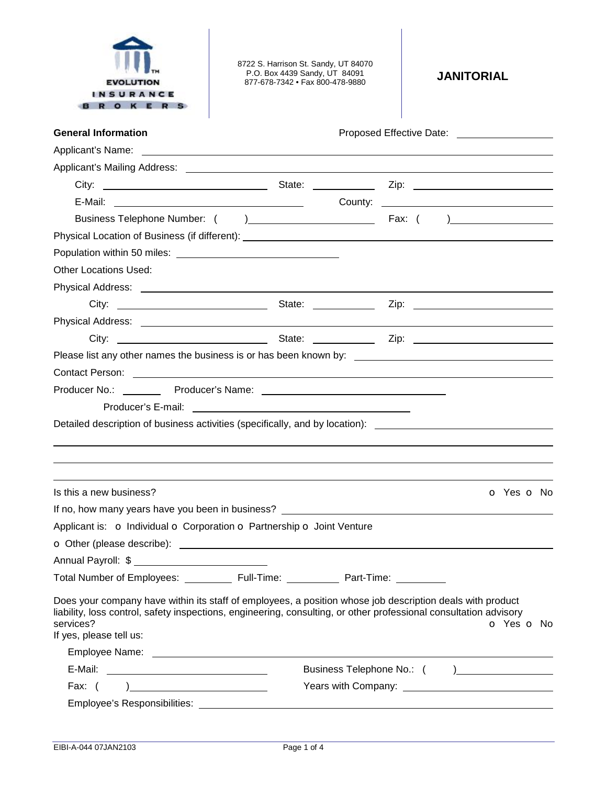

8722 S. Harrison St. Sandy, UT 84070 P.O. Box 4439 Sandy, UT 84091 877-678-7342 • Fax 800-478-9880 **JANITORIAL** 

| <b>General Information</b>                                                                                                                                                                                                                                             |  |  |  | Proposed Effective Date: _______________________ |
|------------------------------------------------------------------------------------------------------------------------------------------------------------------------------------------------------------------------------------------------------------------------|--|--|--|--------------------------------------------------|
|                                                                                                                                                                                                                                                                        |  |  |  |                                                  |
|                                                                                                                                                                                                                                                                        |  |  |  |                                                  |
| City:                                                                                                                                                                                                                                                                  |  |  |  |                                                  |
|                                                                                                                                                                                                                                                                        |  |  |  |                                                  |
|                                                                                                                                                                                                                                                                        |  |  |  |                                                  |
|                                                                                                                                                                                                                                                                        |  |  |  |                                                  |
|                                                                                                                                                                                                                                                                        |  |  |  |                                                  |
| <b>Other Locations Used:</b>                                                                                                                                                                                                                                           |  |  |  |                                                  |
|                                                                                                                                                                                                                                                                        |  |  |  |                                                  |
|                                                                                                                                                                                                                                                                        |  |  |  |                                                  |
|                                                                                                                                                                                                                                                                        |  |  |  |                                                  |
|                                                                                                                                                                                                                                                                        |  |  |  |                                                  |
| Please list any other names the business is or has been known by: __________________________________                                                                                                                                                                   |  |  |  |                                                  |
| Contact Person: example and the contract of the contract of the contract of the contract Person:                                                                                                                                                                       |  |  |  |                                                  |
|                                                                                                                                                                                                                                                                        |  |  |  |                                                  |
|                                                                                                                                                                                                                                                                        |  |  |  |                                                  |
| Detailed description of business activities (specifically, and by location): ________________________________                                                                                                                                                          |  |  |  |                                                  |
|                                                                                                                                                                                                                                                                        |  |  |  |                                                  |
|                                                                                                                                                                                                                                                                        |  |  |  |                                                  |
|                                                                                                                                                                                                                                                                        |  |  |  |                                                  |
| Is this a new business?                                                                                                                                                                                                                                                |  |  |  | o Yes o No                                       |
|                                                                                                                                                                                                                                                                        |  |  |  |                                                  |
| Applicant is: o Individual o Corporation o Partnership o Joint Venture                                                                                                                                                                                                 |  |  |  |                                                  |
| O Other (please describe):<br><u> 1980 - Johann Barnett, fransk politik (f. 1980)</u>                                                                                                                                                                                  |  |  |  |                                                  |
| Annual Payroll: \$                                                                                                                                                                                                                                                     |  |  |  |                                                  |
|                                                                                                                                                                                                                                                                        |  |  |  |                                                  |
| Does your company have within its staff of employees, a position whose job description deals with product<br>liability, loss control, safety inspections, engineering, consulting, or other professional consultation advisory<br>services?<br>If yes, please tell us: |  |  |  | o Yes o No                                       |
|                                                                                                                                                                                                                                                                        |  |  |  |                                                  |
|                                                                                                                                                                                                                                                                        |  |  |  |                                                  |
| Fax: $($                                                                                                                                                                                                                                                               |  |  |  |                                                  |
|                                                                                                                                                                                                                                                                        |  |  |  |                                                  |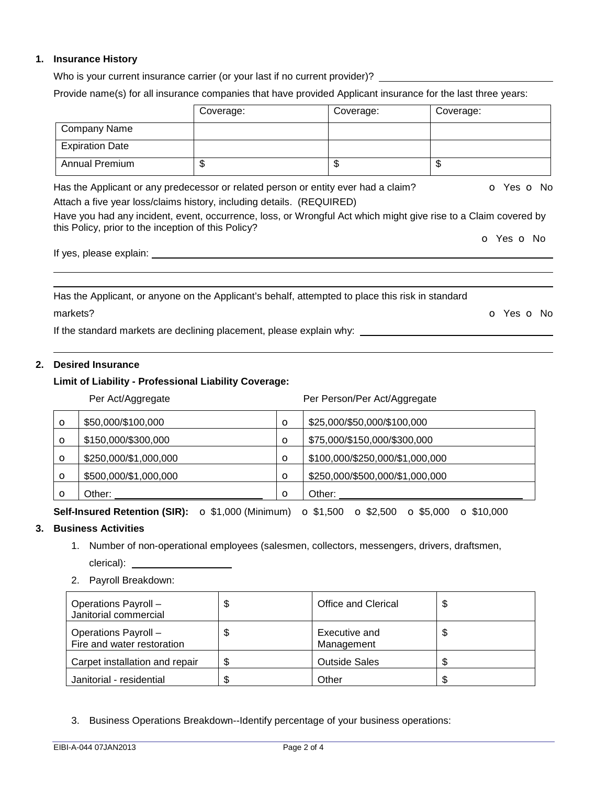## **1. Insurance History**

Who is your current insurance carrier (or your last if no current provider)? \_\_\_\_\_\_\_\_\_\_

Provide name(s) for all insurance companies that have provided Applicant insurance for the last three years:

|                        | Coverage: | Coverage: | Coverage: |
|------------------------|-----------|-----------|-----------|
| Company Name           |           |           |           |
| <b>Expiration Date</b> |           |           |           |
| <b>Annual Premium</b>  | Ψ         | Ψ         | Ψ         |

Has the Applicant or any predecessor or related person or entity ever had a claim? **o** Yes **o** No Attach a five year loss/claims history, including details. (REQUIRED)

Have you had any incident, event, occurrence, loss, or Wrongful Act which might give rise to a Claim covered by this Policy, prior to the inception of this Policy?

o Yes o No

If yes, please explain:

Has the Applicant, or anyone on the Applicant's behalf, attempted to place this risk in standard markets? **o** Yes **o** No.

If the standard markets are declining placement, please explain why:

# **2. Desired Insurance**

## **Limit of Liability - Professional Liability Coverage:**

### Per Act/Aggregate **Per Act/Aggregate** Per Person/Per Act/Aggregate

| $\circ$ | \$50,000/\$100,000    | $\circ$ | \$25,000/\$50,000/\$100,000     |
|---------|-----------------------|---------|---------------------------------|
| $\circ$ | \$150,000/\$300,000   | $\circ$ | \$75,000/\$150,000/\$300,000    |
| $\circ$ | \$250,000/\$1,000,000 | $\circ$ | \$100,000/\$250,000/\$1,000,000 |
| $\circ$ | \$500,000/\$1,000,000 | $\circ$ | \$250,000/\$500,000/\$1,000,000 |
| $\circ$ | Other:                | $\circ$ | Other:                          |

**Self-Insured Retention (SIR):** o \$1,000 (Minimum) o \$1,500 o \$2,500 o \$5,000 o \$10,000

# **3. Business Activities**

- 1. Number of non-operational employees (salesmen, collectors, messengers, drivers, draftsmen, clerical): \_\_\_\_\_\_
- 2. Payroll Breakdown:

| Operations Payroll -<br>Janitorial commercial      | Office and Clerical         | \$ |
|----------------------------------------------------|-----------------------------|----|
| Operations Payroll -<br>Fire and water restoration | Executive and<br>Management | \$ |
| Carpet installation and repair                     | <b>Outside Sales</b>        | æ  |
| Janitorial - residential                           | Other                       |    |

3. Business Operations Breakdown--Identify percentage of your business operations: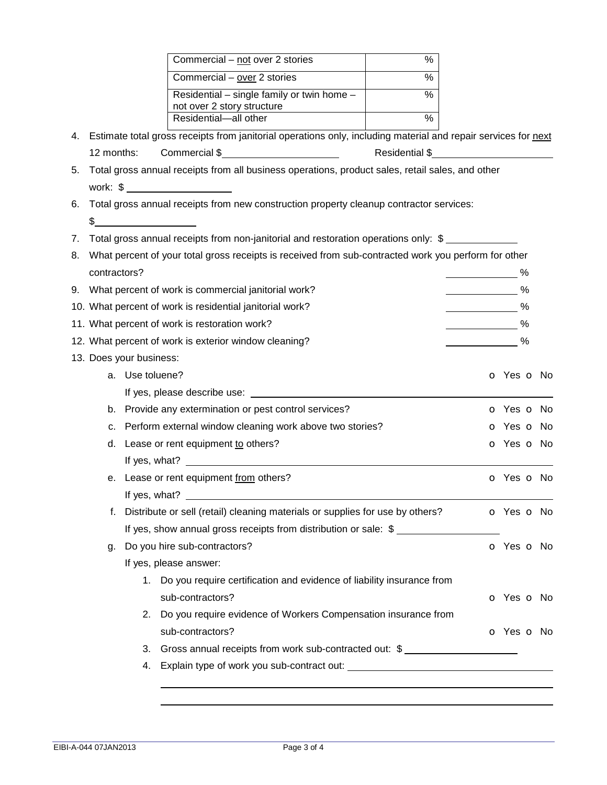|    |              |                         | Commercial - not over 2 stories                                                                                | $\frac{0}{0}$ |                             |
|----|--------------|-------------------------|----------------------------------------------------------------------------------------------------------------|---------------|-----------------------------|
|    |              |                         | Commercial - over 2 stories                                                                                    | %             |                             |
|    |              |                         | Residential – single family or twin home –                                                                     | $\frac{0}{0}$ |                             |
|    |              |                         | not over 2 story structure<br>Residential-all other                                                            | %             |                             |
|    |              |                         |                                                                                                                |               |                             |
| 4. |              |                         | Estimate total gross receipts from janitorial operations only, including material and repair services for next |               |                             |
|    | 12 months:   |                         | Commercial \$                                                                                                  |               |                             |
| 5. |              |                         | Total gross annual receipts from all business operations, product sales, retail sales, and other               |               |                             |
| 6. |              |                         | Total gross annual receipts from new construction property cleanup contractor services:                        |               |                             |
|    |              | $\frac{1}{2}$           |                                                                                                                |               |                             |
| 7. |              |                         | Total gross annual receipts from non-janitorial and restoration operations only: \$                            |               |                             |
| 8. |              |                         | What percent of your total gross receipts is received from sub-contracted work you perform for other           |               |                             |
|    | contractors? |                         |                                                                                                                |               | $\sim$ %                    |
|    |              |                         | 9. What percent of work is commercial janitorial work?                                                         |               | $\sim$ $\sim$ $\sim$        |
|    |              |                         | 10. What percent of work is residential janitorial work?                                                       |               | $\sim$ $\sim$ $\sim$        |
|    |              |                         | 11. What percent of work is restoration work?                                                                  |               | $\sim$ $\sim$ $\sim$        |
|    |              |                         | 12. What percent of work is exterior window cleaning?                                                          |               | $\sim$ $\sim$ $\sim$ $\sim$ |
|    |              | 13. Does your business: |                                                                                                                |               |                             |
|    |              | a. Use toluene?         |                                                                                                                |               | o Yes o No                  |
|    |              |                         |                                                                                                                |               |                             |
|    | b.           |                         | Provide any extermination or pest control services?                                                            |               | <b>o</b> Yes <b>o</b> No    |
|    |              |                         | c. Perform external window cleaning work above two stories?                                                    |               | o Yes o No                  |
|    | d.           |                         | Lease or rent equipment to others?                                                                             |               | o Yes o No                  |
|    |              |                         |                                                                                                                |               |                             |
|    |              |                         | e. Lease or rent equipment from others?                                                                        |               | O Yes O No                  |
|    |              | If yes, what?           |                                                                                                                |               |                             |
|    | f.           |                         | Distribute or sell (retail) cleaning materials or supplies for use by others?                                  |               | o Yes o No                  |
|    |              |                         | If yes, show annual gross receipts from distribution or sale: \$                                               |               |                             |
|    | g.           |                         | Do you hire sub-contractors?                                                                                   |               | o Yes o No                  |
|    |              |                         | If yes, please answer:                                                                                         |               |                             |
|    |              |                         | 1. Do you require certification and evidence of liability insurance from                                       |               |                             |
|    |              |                         | sub-contractors?                                                                                               |               | o Yes o No                  |
|    |              |                         | 2. Do you require evidence of Workers Compensation insurance from                                              |               |                             |
|    |              |                         | sub-contractors?                                                                                               |               | o Yes o No                  |
|    |              | 3.                      | Gross annual receipts from work sub-contracted out: \$                                                         |               |                             |
|    |              | 4.                      |                                                                                                                |               |                             |
|    |              |                         |                                                                                                                |               |                             |